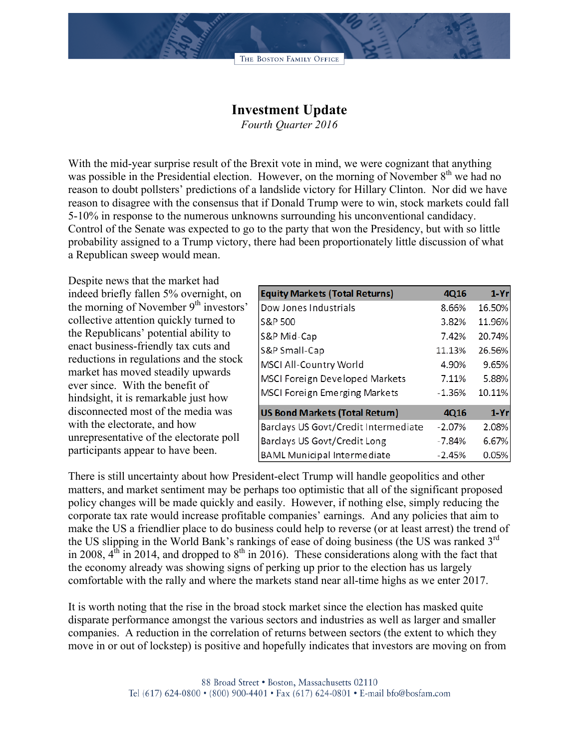THE BOSTON FAMILY OFFICE

## **Investment Update**

*Fourth Quarter 2016*

With the mid-year surprise result of the Brexit vote in mind, we were cognizant that anything was possible in the Presidential election. However, on the morning of November  $8<sup>th</sup>$  we had no reason to doubt pollsters' predictions of a landslide victory for Hillary Clinton. Nor did we have reason to disagree with the consensus that if Donald Trump were to win, stock markets could fall 5-10% in response to the numerous unknowns surrounding his unconventional candidacy. Control of the Senate was expected to go to the party that won the Presidency, but with so little probability assigned to a Trump victory, there had been proportionately little discussion of what a Republican sweep would mean.

Despite news that the market had indeed briefly fallen 5% overnight, on the morning of November 9<sup>th</sup> investors' collective attention quickly turned to the Republicans' potential ability to enact business-friendly tax cuts and reductions in regulations and the stock market has moved steadily upwards ever since. With the benefit of hindsight, it is remarkable just how disconnected most of the media was with the electorate, and how unrepresentative of the electorate poll participants appear to have been.

| <b>Equity Markets (Total Returns)</b> | 4Q16     | $1-Yr$ |
|---------------------------------------|----------|--------|
| Dow Jones Industrials                 | 8.66%    | 16.50% |
| S&P 500                               | 3.82%    | 11.96% |
| S&P Mid-Cap                           | 7.42%    | 20.74% |
| S&P Small-Cap                         | 11.13%   | 26.56% |
| MSCI All-Country World                | 4.90%    | 9.65%  |
| <b>MSCI Foreign Developed Markets</b> | 7.11%    | 5.88%  |
| <b>MSCI Foreign Emerging Markets</b>  | $-1.36%$ | 10.11% |
| <b>US Bond Markets (Total Return)</b> | 4Q16     | $1-Yr$ |
| Barclays US Govt/Credit Intermediate  | $-2.07%$ | 2.08%  |
| Barclays US Govt/Credit Long          | $-7.84%$ | 6.67%  |
| <b>BAML Municipal Intermediate</b>    | $-2.45%$ | 0.05%  |

There is still uncertainty about how President-elect Trump will handle geopolitics and other matters, and market sentiment may be perhaps too optimistic that all of the significant proposed policy changes will be made quickly and easily. However, if nothing else, simply reducing the corporate tax rate would increase profitable companies' earnings. And any policies that aim to make the US a friendlier place to do business could help to reverse (or at least arrest) the trend of the US slipping in the World Bank's rankings of ease of doing business (the US was ranked 3<sup>rd</sup> in 2008,  $4<sup>th</sup>$  in 2014, and dropped to  $8<sup>th</sup>$  in 2016). These considerations along with the fact that the economy already was showing signs of perking up prior to the election has us largely comfortable with the rally and where the markets stand near all-time highs as we enter 2017.

It is worth noting that the rise in the broad stock market since the election has masked quite disparate performance amongst the various sectors and industries as well as larger and smaller companies. A reduction in the correlation of returns between sectors (the extent to which they move in or out of lockstep) is positive and hopefully indicates that investors are moving on from